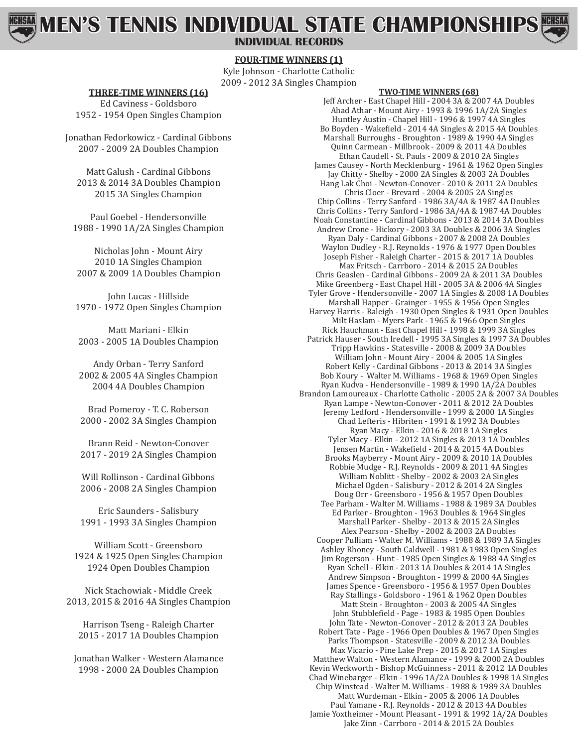# **MEN'S TENNIS INDIVIDUAL STATE CHAMPIONSHIPS**

**INDIVIDUAL RECORDS**

## **FOUR-TIME WINNERS (1)**

Kyle Johnson - Charlotte Catholic 2009 - 2012 3A Singles Champion

**THREE-TIME WINNERS (16)** Ed Caviness - Goldsboro

1952 - 1954 Open Singles Champion

Jonathan Fedorkowicz - Cardinal Gibbons 2007 - 2009 2A Doubles Champion

Matt Galush - Cardinal Gibbons 2013 & 2014 3A Doubles Champion 2015 3A Singles Champion

Paul Goebel - Hendersonville 1988 - 1990 1A/2A Singles Champion

Nicholas John - Mount Airy 2010 1A Singles Champion 2007 & 2009 1A Doubles Champion

John Lucas - Hillside 1970 - 1972 Open Singles Champion

Matt Mariani - Elkin 2003 - 2005 1A Doubles Champion

Andy Orban - Terry Sanford 2002 & 2005 4A Singles Champion 2004 4A Doubles Champion

Brad Pomeroy - T. C. Roberson 2000 - 2002 3A Singles Champion

Brann Reid - Newton-Conover 2017 - 2019 2A Singles Champion

Will Rollinson - Cardinal Gibbons 2006 - 2008 2A Singles Champion

Eric Saunders - Salisbury 1991 - 1993 3A Singles Champion

William Scott - Greensboro 1924 & 1925 Open Singles Champion 1924 Open Doubles Champion

Nick Stachowiak - Middle Creek 2013, 2015 & 2016 4A Singles Champion

Harrison Tseng - Raleigh Charter 2015 - 2017 1A Doubles Champion

Jonathan Walker - Western Alamance 1998 - 2000 2A Doubles Champion

### **TWO-TIME WINNERS (68)**

Jeff Archer - East Chapel Hill - 2004 3A & 2007 4A Doubles Ahad Athar - Mount Airy - 1993 & 1996 1A/2A Singles Huntley Austin - Chapel Hill - 1996 & 1997 4A Singles Bo Boyden - Wakefield - 2014 4A Singles & 2015 4A Doubles Marshall Burroughs - Broughton - 1989 & 1990 4A Singles Quinn Carmean - Millbrook - 2009 & 2011 4A Doubles Ethan Caudell - St. Pauls - 2009 & 2010 2A Singles James Causey - North Mecklenburg - 1961 & 1962 Open Singles Jay Chitty - Shelby - 2000 2A Singles & 2003 2A Doubles Hang Lak Choi - Newton-Conover - 2010 & 2011 2A Doubles Chris Cloer - Brevard - 2004 & 2005 2A Singles Chip Collins - Terry Sanford - 1986 3A/4A & 1987 4A Doubles Chris Collins - Terry Sanford - 1986 3A/4A & 1987 4A Doubles Noah Constantine - Cardinal Gibbons - 2013 & 2014 3A Doubles Andrew Crone - Hickory - 2003 3A Doubles & 2006 3A Singles Ryan Daly - Cardinal Gibbons - 2007 & 2008 2A Doubles Waylon Dudley - R.J. Reynolds - 1976 & 1977 Open Doubles Joseph Fisher - Raleigh Charter - 2015 & 2017 1A Doubles Max Fritsch - Carrboro - 2014 & 2015 2A Doubles Chris Geaslen - Cardinal Gibbons - 2009 2A & 2011 3A Doubles Mike Greenberg - East Chapel Hill - 2005 3A & 2006 4A Singles Tyler Grove - Hendersonville - 2007 1A Singles & 2008 1A Doubles Marshall Happer - Grainger - 1955 & 1956 Open Singles Harvey Harris - Raleigh - 1930 Open Singles & 1931 Open Doubles Milt Haslam - Myers Park - 1965 & 1966 Open Singles Rick Hauchman - East Chapel Hill - 1998 & 1999 3A Singles Patrick Hauser - South Iredell - 1995 3A Singles & 1997 3A Doubles Tripp Hawkins - Statesville - 2008 & 2009 3A Doubles William John - Mount Airy - 2004 & 2005 1A Singles Robert Kelly - Cardinal Gibbons - 2013 & 2014 3A Singles Bob Koury - Walter M. Williams - 1968 & 1969 Open Singles Ryan Kudva - Hendersonville - 1989 & 1990 1A/2A Doubles Brandon Lamoureaux - Charlotte Catholic - 2005 2A & 2007 3A Doubles Ryan Lampe - Newton-Conover - 2011 & 2012 2A Doubles Jeremy Ledford - Hendersonville - 1999 & 2000 1A Singles Chad Lefteris - Hibriten - 1991 & 1992 3A Doubles Ryan Macy - Elkin - 2016 & 2018 1A Singles Tyler Macy - Elkin - 2012 1A Singles & 2013 1A Doubles Jensen Martin - Wakefield - 2014 & 2015 4A Doubles Brooks Mayberry - Mount Airy - 2009 & 2010 1A Doubles Robbie Mudge - R.J. Reynolds - 2009 & 2011 4A Singles William Noblitt - Shelby - 2002 & 2003 2A Singles Michael Ogden - Salisbury - 2012 & 2014 2A Singles Doug Orr - Greensboro - 1956 & 1957 Open Doubles Tee Parham - Walter M. Williams - 1988 & 1989 3A Doubles Ed Parker - Broughton - 1963 Doubles & 1964 Singles Marshall Parker - Shelby - 2013 & 2015 2A Singles Alex Pearson - Shelby - 2002 & 2003 2A Doubles Cooper Pulliam - Walter M. Williams - 1988 & 1989 3A Singles Ashley Rhoney - South Caldwell - 1981 & 1983 Open Singles Jim Rogerson - Hunt - 1985 Open Singles & 1988 4A Singles Ryan Schell - Elkin - 2013 1A Doubles & 2014 1A Singles Andrew Simpson - Broughton - 1999 & 2000 4A Singles James Spence - Greensboro - 1956 & 1957 Open Doubles Ray Stallings - Goldsboro - 1961 & 1962 Open Doubles Matt Stein - Broughton - 2003 & 2005 4A Singles John Stubblefield - Page - 1983 & 1985 Open Doubles John Tate - Newton-Conover - 2012 & 2013 2A Doubles Robert Tate - Page - 1966 Open Doubles & 1967 Open Singles Parks Thompson - Statesville - 2009 & 2012 3A Doubles Max Vicario - Pine Lake Prep - 2015 & 2017 1A Singles Matthew Walton - Western Alamance - 1999 & 2000 2A Doubles Kevin Weckworth - Bishop McGuinness - 2011 & 2012 1A Doubles Chad Winebarger - Elkin - 1996 1A/2A Doubles & 1998 1A Singles Chip Winstead - Walter M. Williams - 1988 & 1989 3A Doubles Matt Wurdeman - Elkin - 2005 & 2006 1A Doubles Paul Yamane - R.J. Reynolds - 2012 & 2013 4A Doubles Jamie Yoxtheimer - Mount Pleasant - 1991 & 1992 1A/2A Doubles Jake Zinn - Carrboro - 2014 & 2015 2A Doubles